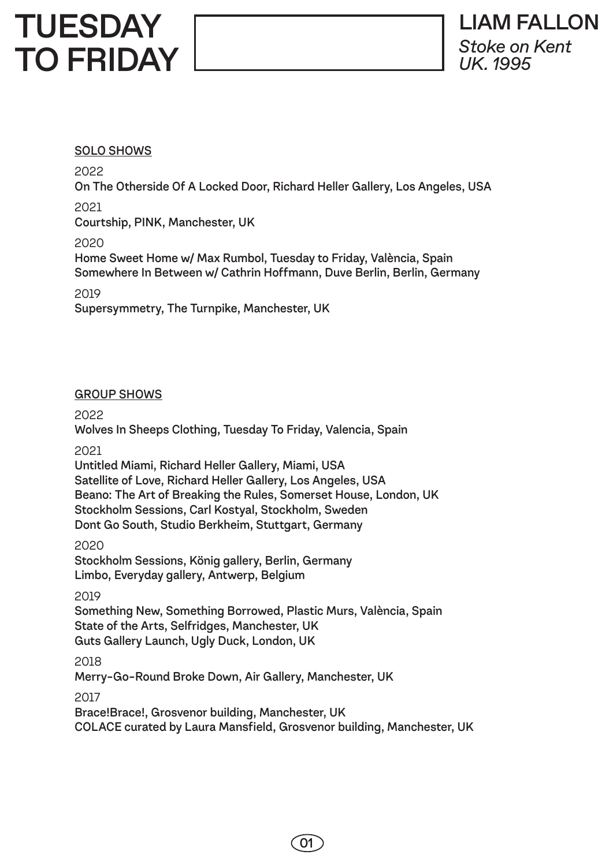# **TUESDAY** TO FRIDAY

## SOLO SHOWS

2022

On The Otherside Of A Locked Door, Richard Heller Gallery, Los Angeles, USA

2021

Courtship, PINK, Manchester, UK

2020

Home Sweet Home w/ Max Rumbol, Tuesday to Friday, València, Spain Somewhere In Between w/ Cathrin Hoffmann, Duve Berlin, Berlin, Germany

2019

Supersymmetry, The Turnpike, Manchester, UK

#### GROUP SHOWS

2022

Wolves In Sheeps Clothing, Tuesday To Friday, Valencia, Spain

2021

Untitled Miami, Richard Heller Gallery, Miami, USA Satellite of Love, Richard Heller Gallery, Los Angeles, USA Beano: The Art of Breaking the Rules, Somerset House, London, UK Stockholm Sessions, Carl Kostyal, Stockholm, Sweden Dont Go South, Studio Berkheim, Stuttgart, Germany

2020

Stockholm Sessions, König gallery, Berlin, Germany Limbo, Everyday gallery, Antwerp, Belgium

2019

Something New, Something Borrowed, Plastic Murs, València, Spain State of the Arts, Selfridges, Manchester, UK Guts Gallery Launch, Ugly Duck, London, UK

2018

Merry-Go-Round Broke Down, Air Gallery, Manchester, UK

2017

Brace!Brace!, Grosvenor building, Manchester, UK COLACE curated by Laura Mansfield, Grosvenor building, Manchester, UK

01